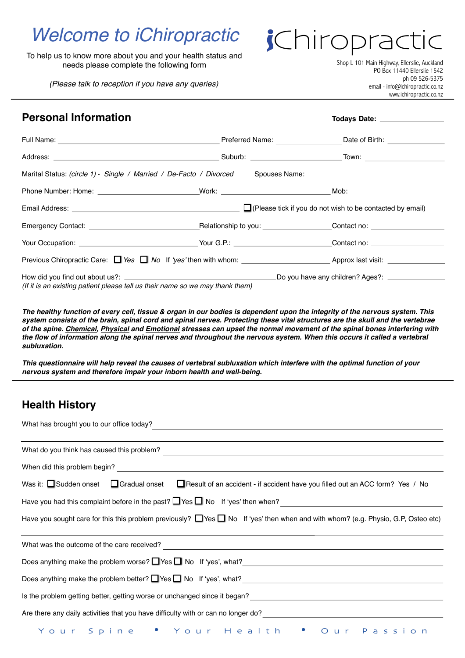## *Welcome to iChiropractic*

To help us to know more about you and your health status and needs please complete the following form

*(Please talk to reception if you have any queries)*

Shop L 101 Main Highway, Ellerslie, Auckland PO Box 11440 Ellerslie 1542 ph 09 526-5375 email - info@ichiropractic.co.nz [www.ichiropractic.co.nz](http://www.ichiropractic.co.nz)

*jChiroprac* 

| <b>Personal Information</b>                                                   |                                                                                                                | Todays Date: <u>_________________</u>                            |  |  |  |
|-------------------------------------------------------------------------------|----------------------------------------------------------------------------------------------------------------|------------------------------------------------------------------|--|--|--|
|                                                                               |                                                                                                                | Preferred Name: Date of Birth: 2008. [2010] Date of Birth:       |  |  |  |
|                                                                               |                                                                                                                |                                                                  |  |  |  |
|                                                                               | Marital Status: (circle 1) - Single / Married / De-Facto / Divorced Spouses Name: ____________________________ |                                                                  |  |  |  |
|                                                                               | Phone Number: Home: _____________________________Work: ______________________________Mob: ____________________ |                                                                  |  |  |  |
|                                                                               |                                                                                                                | $\Box$ (Please tick if you do not wish to be contacted by email) |  |  |  |
|                                                                               |                                                                                                                |                                                                  |  |  |  |
|                                                                               |                                                                                                                |                                                                  |  |  |  |
|                                                                               |                                                                                                                |                                                                  |  |  |  |
| (If it is an existing patient please tell us their name so we may thank them) |                                                                                                                |                                                                  |  |  |  |

*The healthy function of every cell, tissue & organ in our bodies is dependent upon the integrity of the nervous system. This system consists of the brain, spinal cord and spinal nerves. Protecting these vital structures are the skull and the vertebrae of the spine. Chemical, Physical and Emotional stresses can upset the normal movement of the spinal bones interfering with the flow of information along the spinal nerves and throughout the nervous system. When this occurs it called a vertebral subluxation.*

*This questionnaire will help reveal the causes of vertebral subluxation which interfere with the optimal function of your nervous system and therefore impair your inborn health and well-being.*

## **Health History**

| What has brought you to our office today?                                                                                                   |  |  |  |  |  |  |  |
|---------------------------------------------------------------------------------------------------------------------------------------------|--|--|--|--|--|--|--|
|                                                                                                                                             |  |  |  |  |  |  |  |
|                                                                                                                                             |  |  |  |  |  |  |  |
| When did this problem begin?                                                                                                                |  |  |  |  |  |  |  |
| Was it: $\Box$ Sudden onset $\Box$ Gradual onset $\Box$ Result of an accident - if accident have you filled out an ACC form? Yes / No       |  |  |  |  |  |  |  |
| Have you had this complaint before in the past? Nes D No If 'yes' then when?<br>Mo If 'yes' then when?                                      |  |  |  |  |  |  |  |
| Have you sought care for this this problem previously? $\Box$ Yes $\Box$ No If 'yes' then when and with whom? (e.g. Physio, G.P, Osteo etc) |  |  |  |  |  |  |  |
| What was the outcome of the care received?                                                                                                  |  |  |  |  |  |  |  |
|                                                                                                                                             |  |  |  |  |  |  |  |
|                                                                                                                                             |  |  |  |  |  |  |  |
| Is the problem getting better, getting worse or unchanged since it began?                                                                   |  |  |  |  |  |  |  |
| Are there any daily activities that you have difficulty with or can no longer do?                                                           |  |  |  |  |  |  |  |
| Your Spine • Your Health • Our Passion                                                                                                      |  |  |  |  |  |  |  |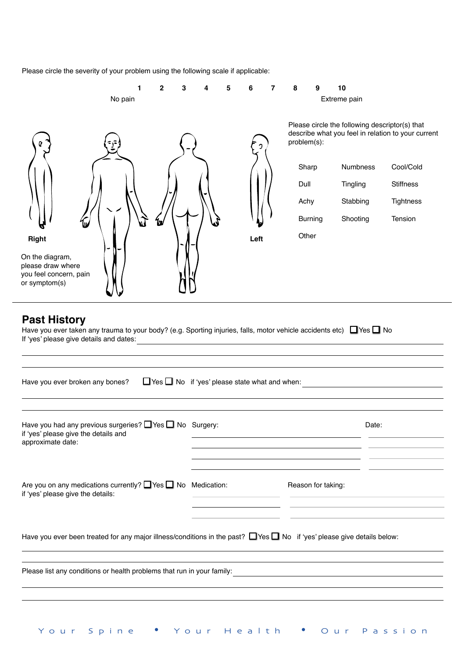Please circle the severity of your problem using the following scale if applicable:

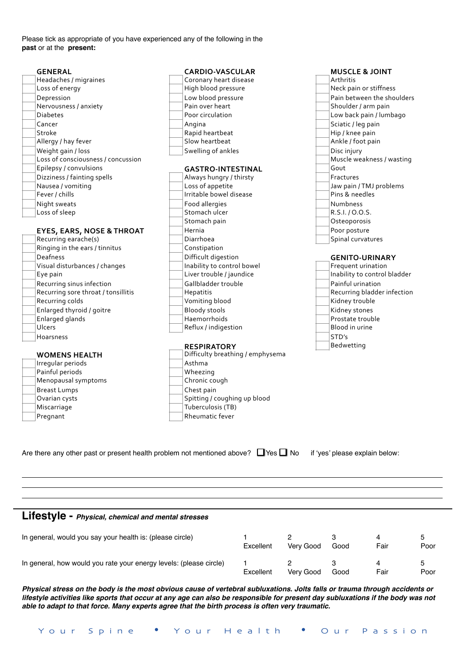Please tick as appropriate of you have experienced any of the following in the **past** or at the **present:**

| <b>GENERAL</b>                       | <b>CARDIO-VASCULAR</b>           | <b>MUSCLE &amp; JOINT</b>    |  |  |  |
|--------------------------------------|----------------------------------|------------------------------|--|--|--|
| Headaches / migraines                | Coronary heart disease           | Arthritis                    |  |  |  |
| Loss of energy                       | High blood pressure              | Neck pain or stiffness       |  |  |  |
| Depression                           | Low blood pressure               | Pain between the shoulders   |  |  |  |
| Nervousness / anxiety                | Pain over heart                  | Shoulder / arm pain          |  |  |  |
| <b>Diabetes</b>                      | Poor circulation                 | Low back pain / lumbago      |  |  |  |
| Cancer                               | Angina                           | Sciatic / leg pain           |  |  |  |
| Stroke                               | Rapid heartbeat                  | Hip / knee pain              |  |  |  |
| Allergy / hay fever                  | Slow heartbeat                   | Ankle / foot pain            |  |  |  |
| Weight gain / loss                   | Swelling of ankles               | Disc injury                  |  |  |  |
| Loss of consciousness / concussion   |                                  | Muscle weakness / wasting    |  |  |  |
| Epilepsy / convulsions               | <b>GASTRO-INTESTINAL</b>         | Gout                         |  |  |  |
| Dizziness / fainting spells          | Always hungry / thirsty          | Fractures                    |  |  |  |
| Nausea / vomiting                    | Loss of appetite                 | Jaw pain / TMJ problems      |  |  |  |
| Fever / chills                       | Irritable bowel disease          | Pins & needles               |  |  |  |
| Night sweats                         | Food allergies                   | <b>Numbness</b>              |  |  |  |
| Loss of sleep                        | Stomach ulcer                    | R.S.I. / O.O.S.              |  |  |  |
|                                      | Stomach pain                     | Osteoporosis                 |  |  |  |
| <b>EYES, EARS, NOSE &amp; THROAT</b> | Hernia                           | Poor posture                 |  |  |  |
| Recurring earache(s)                 | Diarrhoea                        | Spinal curvatures            |  |  |  |
| Ringing in the ears / tinnitus       | Constipation                     |                              |  |  |  |
| Deafness                             | Difficult digestion              | <b>GENITO-URINARY</b>        |  |  |  |
| Visual disturbances / changes        | Inability to control bowel       | Frequent urination           |  |  |  |
| Eye pain                             | Liver trouble / jaundice         | Inability to control bladder |  |  |  |
| Recurring sinus infection            | Gallbladder trouble              | Painful urination            |  |  |  |
| Recurring sore throat / tonsillitis  | Hepatitis                        | Recurring bladder infection  |  |  |  |
| Recurring colds                      | Vomiting blood                   | Kidney trouble               |  |  |  |
| Enlarged thyroid / goitre            | <b>Bloody stools</b>             | Kidney stones                |  |  |  |
| Enlarged glands                      | Haemorrhoids                     | Prostate trouble             |  |  |  |
| Ulcers                               | Reflux / indigestion             | Blood in urine               |  |  |  |
| Hoarsness                            |                                  | STD's                        |  |  |  |
|                                      | <b>RESPIRATORY</b>               | Bedwetting                   |  |  |  |
| <b>WOMENS HEALTH</b>                 | Difficulty breathing / emphysema |                              |  |  |  |
| Irregular periods                    | Asthma                           |                              |  |  |  |
| Painful periods                      | Wheezing                         |                              |  |  |  |
| Menopausal symptoms                  | Chronic cough                    |                              |  |  |  |
| <b>Breast Lumps</b>                  | Chest pain                       |                              |  |  |  |
| Ovarian cysts                        | Spitting / coughing up blood     |                              |  |  |  |
| Miscarriage                          | Tuberculosis (TB)                |                              |  |  |  |
| Pregnant                             | Rheumatic fever                  |                              |  |  |  |
|                                      |                                  |                              |  |  |  |

Are there any other past or present health problem not mentioned above?  $\Box$  Yes  $\Box$  No if 'yes' please explain below:

**Lifestyle -** *Physical, chemical and mental stresses*

| In general, would you say your health is: (please circle)          | Excellent | Verv Good | Good | Fair | b<br>Poor |
|--------------------------------------------------------------------|-----------|-----------|------|------|-----------|
| In general, how would you rate your energy levels: (please circle) | Excellent | Verv Good | Good | Fair | b<br>Poor |

*Physical stress on the body is the most obvious cause of vertebral subluxations. Jolts falls or trauma through accidents or lifestyle activities like sports that occur at any age can also be responsible for present day subluxations if the body was not able to adapt to that force. Many experts agree that the birth process is often very traumatic.*